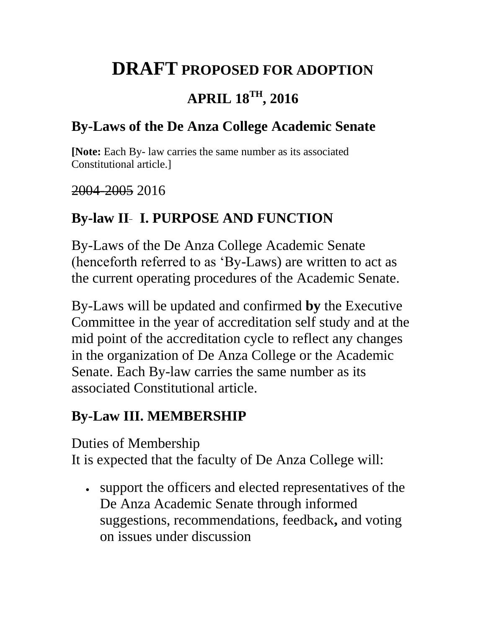# **DRAFT PROPOSED FOR ADOPTION**

# **APRIL 18TH, 2016**

## **By-Laws of the De Anza College Academic Senate**

**[Note:** Each By- law carries the same number as its associated Constitutional article.]

2004-2005 2016

## **By-law II- I. PURPOSE AND FUNCTION**

By-Laws of the De Anza College Academic Senate (henceforth referred to as 'By-Laws) are written to act as the current operating procedures of the Academic Senate.

By-Laws will be updated and confirmed **by** the Executive Committee in the year of accreditation self study and at the mid point of the accreditation cycle to reflect any changes in the organization of De Anza College or the Academic Senate. Each By-law carries the same number as its associated Constitutional article.

# **By-Law III. MEMBERSHIP**

Duties of Membership

It is expected that the faculty of De Anza College will:

 support the officers and elected representatives of the De Anza Academic Senate through informed suggestions, recommendations, feedback**,** and voting on issues under discussion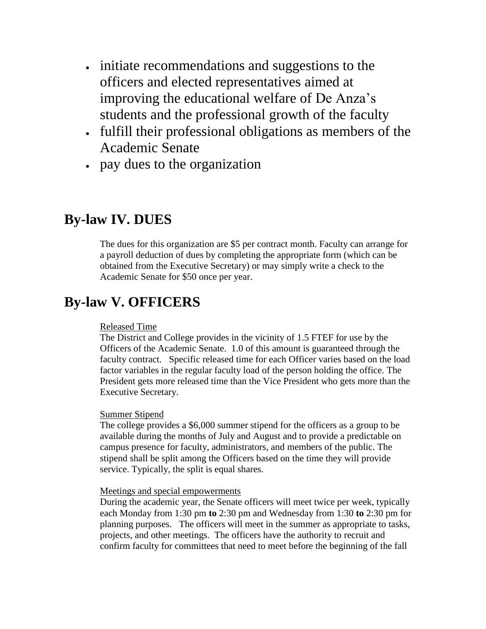- initiate recommendations and suggestions to the officers and elected representatives aimed at improving the educational welfare of De Anza's students and the professional growth of the faculty
- fulfill their professional obligations as members of the Academic Senate
- pay dues to the organization

## **By-law IV. DUES**

The dues for this organization are \$5 per contract month. Faculty can arrange for a payroll deduction of dues by completing the appropriate form (which can be obtained from the Executive Secretary) or may simply write a check to the Academic Senate for \$50 once per year.

## **By-law V. OFFICERS**

## Released Time

The District and College provides in the vicinity of 1.5 FTEF for use by the Officers of the Academic Senate. 1.0 of this amount is guaranteed through the faculty contract. Specific released time for each Officer varies based on the load factor variables in the regular faculty load of the person holding the office. The President gets more released time than the Vice President who gets more than the Executive Secretary.

## Summer Stipend

The college provides a \$6,000 summer stipend for the officers as a group to be available during the months of July and August and to provide a predictable on campus presence for faculty, administrators, and members of the public. The stipend shall be split among the Officers based on the time they will provide service. Typically, the split is equal shares.

## Meetings and special empowerments

During the academic year, the Senate officers will meet twice per week, typically each Monday from 1:30 pm **to** 2:30 pm and Wednesday from 1:30 **to** 2:30 pm for planning purposes. The officers will meet in the summer as appropriate to tasks, projects, and other meetings. The officers have the authority to recruit and confirm faculty for committees that need to meet before the beginning of the fall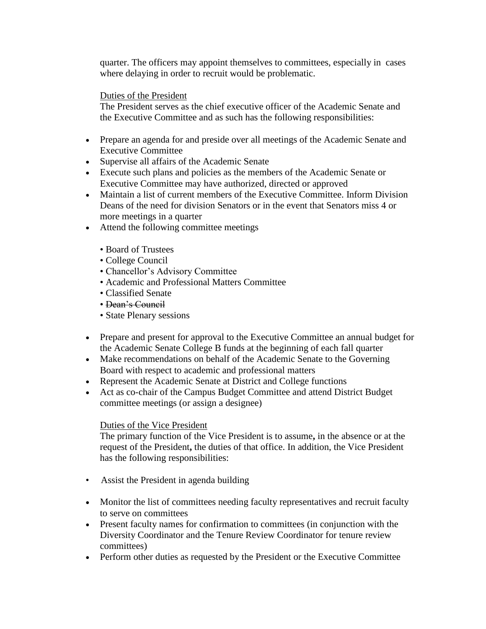quarter. The officers may appoint themselves to committees, especially in cases where delaying in order to recruit would be problematic.

## Duties of the President

The President serves as the chief executive officer of the Academic Senate and the Executive Committee and as such has the following responsibilities:

- Prepare an agenda for and preside over all meetings of the Academic Senate and Executive Committee
- Supervise all affairs of the Academic Senate
- Execute such plans and policies as the members of the Academic Senate or Executive Committee may have authorized, directed or approved
- Maintain a list of current members of the Executive Committee. Inform Division Deans of the need for division Senators or in the event that Senators miss 4 or more meetings in a quarter
- Attend the following committee meetings
	- Board of Trustees
	- College Council
	- Chancellor's Advisory Committee
	- Academic and Professional Matters Committee
	- Classified Senate
	- Dean's Council
	- State Plenary sessions
- Prepare and present for approval to the Executive Committee an annual budget for the Academic Senate College B funds at the beginning of each fall quarter
- Make recommendations on behalf of the Academic Senate to the Governing Board with respect to academic and professional matters
- Represent the Academic Senate at District and College functions
- Act as co-chair of the Campus Budget Committee and attend District Budget committee meetings (or assign a designee)

## Duties of the Vice President

The primary function of the Vice President is to assume**,** in the absence or at the request of the President**,** the duties of that office. In addition, the Vice President has the following responsibilities:

- Assist the President in agenda building
- Monitor the list of committees needing faculty representatives and recruit faculty to serve on committees
- Present faculty names for confirmation to committees (in conjunction with the Diversity Coordinator and the Tenure Review Coordinator for tenure review committees)
- Perform other duties as requested by the President or the Executive Committee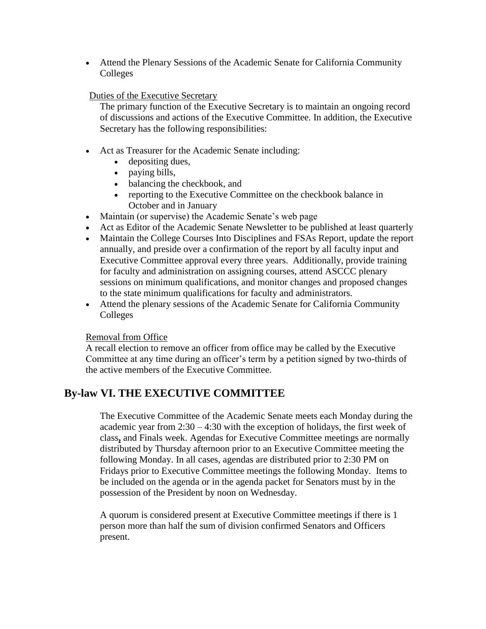Attend the Plenary Sessions of the Academic Senate for California Community Colleges

## Duties of the Executive Secretary

The primary function of the Executive Secretary is to maintain an ongoing record of discussions and actions of the Executive Committee. In addition, the Executive Secretary has the following responsibilities:

- Act as Treasurer for the Academic Senate including:
	- depositing dues,
	- paying bills,
	- balancing the checkbook, and
	- reporting to the Executive Committee on the checkbook balance in October and in January
- Maintain (or supervise) the Academic Senate's web page
- Act as Editor of the Academic Senate Newsletter to be published at least quarterly
- Maintain the College Courses Into Disciplines and FSAs Report, update the report annually, and preside over a confirmation of the report by all faculty input and Executive Committee approval every three years. Additionally, provide training for faculty and administration on assigning courses, attend ASCCC plenary sessions on minimum qualifications, and monitor changes and proposed changes to the state minimum qualifications for faculty and administrators.
- Attend the plenary sessions of the Academic Senate for California Community Colleges

## Removal from Office

A recall election to remove an officer from office may be called by the Executive Committee at any time during an officer's term by a petition signed by two-thirds of the active members of the Executive Committee.

## **By-law VI. THE EXECUTIVE COMMITTEE**

The Executive Committee of the Academic Senate meets each Monday during the academic year from 2:30 – 4:30 with the exception of holidays, the first week of class**,** and Finals week. Agendas for Executive Committee meetings are normally distributed by Thursday afternoon prior to an Executive Committee meeting the following Monday. In all cases, agendas are distributed prior to 2:30 PM on Fridays prior to Executive Committee meetings the following Monday. Items to be included on the agenda or in the agenda packet for Senators must by in the possession of the President by noon on Wednesday.

A quorum is considered present at Executive Committee meetings if there is 1 person more than half the sum of division confirmed Senators and Officers present.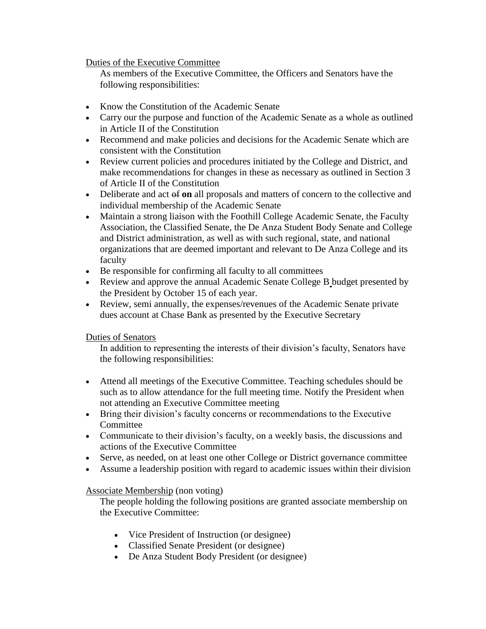Duties of the Executive Committee

As members of the Executive Committee, the Officers and Senators have the following responsibilities:

- Know the Constitution of the Academic Senate
- Carry our the purpose and function of the Academic Senate as a whole as outlined in Article II of the Constitution
- Recommend and make policies and decisions for the Academic Senate which are consistent with the Constitution
- Review current policies and procedures initiated by the College and District, and make recommendations for changes in these as necessary as outlined in Section 3 of Article II of the Constitution
- Deliberate and act of **on** all proposals and matters of concern to the collective and individual membership of the Academic Senate
- Maintain a strong liaison with the Foothill College Academic Senate, the Faculty Association, the Classified Senate, the De Anza Student Body Senate and College and District administration, as well as with such regional, state, and national organizations that are deemed important and relevant to De Anza College and its faculty
- Be responsible for confirming all faculty to all committees
- Review and approve the annual Academic Senate College B budget presented by the President by October 15 of each year.
- Review, semi annually, the expenses/revenues of the Academic Senate private dues account at Chase Bank as presented by the Executive Secretary

Duties of Senators

In addition to representing the interests of their division's faculty, Senators have the following responsibilities:

- Attend all meetings of the Executive Committee. Teaching schedules should be such as to allow attendance for the full meeting time. Notify the President when not attending an Executive Committee meeting
- Bring their division's faculty concerns or recommendations to the Executive Committee
- Communicate to their division's faculty, on a weekly basis, the discussions and actions of the Executive Committee
- Serve, as needed, on at least one other College or District governance committee
- Assume a leadership position with regard to academic issues within their division

## Associate Membership (non voting)

The people holding the following positions are granted associate membership on the Executive Committee:

- Vice President of Instruction (or designee)
- Classified Senate President (or designee)
- De Anza Student Body President (or designee)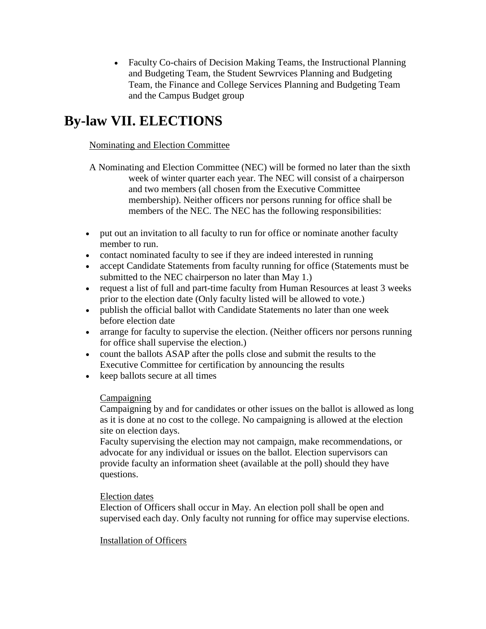Faculty Co-chairs of Decision Making Teams, the Instructional Planning and Budgeting Team, the Student Sewrvices Planning and Budgeting Team, the Finance and College Services Planning and Budgeting Team and the Campus Budget group

# **By-law VII. ELECTIONS**

## Nominating and Election Committee

- A Nominating and Election Committee (NEC) will be formed no later than the sixth week of winter quarter each year. The NEC will consist of a chairperson and two members (all chosen from the Executive Committee membership). Neither officers nor persons running for office shall be members of the NEC. The NEC has the following responsibilities:
- put out an invitation to all faculty to run for office or nominate another faculty member to run.
- contact nominated faculty to see if they are indeed interested in running
- accept Candidate Statements from faculty running for office (Statements must be submitted to the NEC chairperson no later than May 1.)
- request a list of full and part-time faculty from Human Resources at least 3 weeks prior to the election date (Only faculty listed will be allowed to vote.)
- publish the official ballot with Candidate Statements no later than one week before election date
- arrange for faculty to supervise the election. (Neither officers nor persons running for office shall supervise the election.)
- count the ballots ASAP after the polls close and submit the results to the Executive Committee for certification by announcing the results
- keep ballots secure at all times

## **Campaigning**

Campaigning by and for candidates or other issues on the ballot is allowed as long as it is done at no cost to the college. No campaigning is allowed at the election site on election days.

Faculty supervising the election may not campaign, make recommendations, or advocate for any individual or issues on the ballot. Election supervisors can provide faculty an information sheet (available at the poll) should they have questions.

## Election dates

Election of Officers shall occur in May. An election poll shall be open and supervised each day. Only faculty not running for office may supervise elections.

## Installation of Officers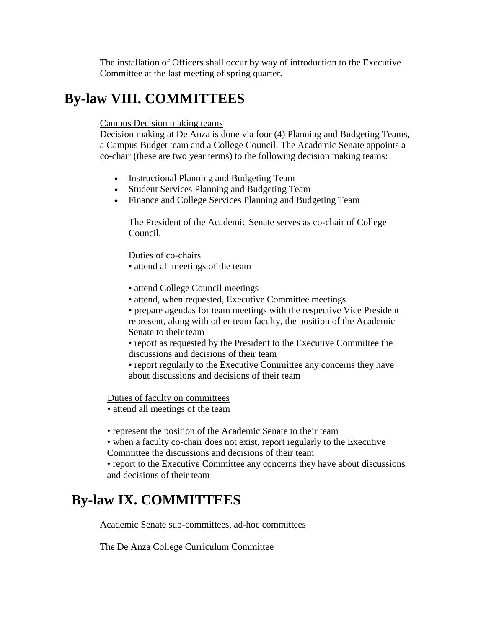The installation of Officers shall occur by way of introduction to the Executive Committee at the last meeting of spring quarter.

## **By-law VIII. COMMITTEES**

## Campus Decision making teams

Decision making at De Anza is done via four (4) Planning and Budgeting Teams, a Campus Budget team and a College Council. The Academic Senate appoints a co-chair (these are two year terms) to the following decision making teams:

- Instructional Planning and Budgeting Team
- Student Services Planning and Budgeting Team
- Finance and College Services Planning and Budgeting Team

The President of the Academic Senate serves as co-chair of College Council.

Duties of co-chairs

- attend all meetings of the team
- attend College Council meetings
- attend, when requested, Executive Committee meetings

• prepare agendas for team meetings with the respective Vice President represent, along with other team faculty, the position of the Academic Senate to their team

• report as requested by the President to the Executive Committee the discussions and decisions of their team

• report regularly to the Executive Committee any concerns they have about discussions and decisions of their team

Duties of faculty on committees

• attend all meetings of the team

• represent the position of the Academic Senate to their team

• when a faculty co-chair does not exist, report regularly to the Executive Committee the discussions and decisions of their team

• report to the Executive Committee any concerns they have about discussions and decisions of their team

## **By-law IX. COMMITTEES**

Academic Senate sub-committees, ad-hoc committees

The De Anza College Curriculum Committee